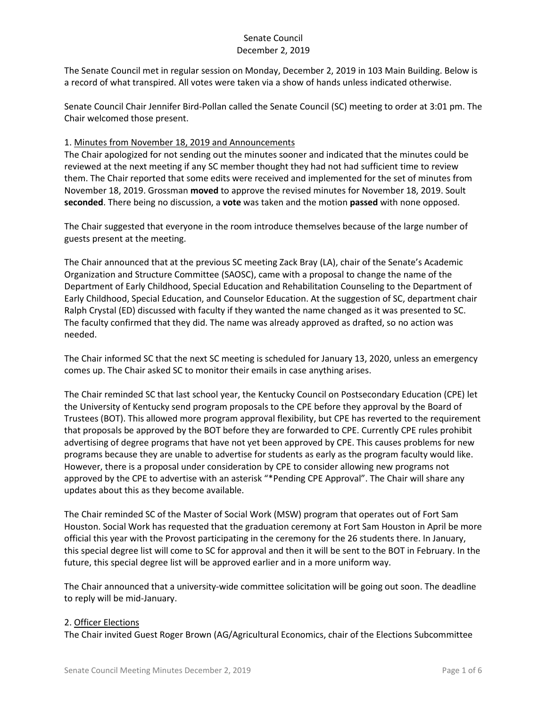The Senate Council met in regular session on Monday, December 2, 2019 in 103 Main Building. Below is a record of what transpired. All votes were taken via a show of hands unless indicated otherwise.

Senate Council Chair Jennifer Bird-Pollan called the Senate Council (SC) meeting to order at 3:01 pm. The Chair welcomed those present.

### 1. Minutes from November 18, 2019 and Announcements

The Chair apologized for not sending out the minutes sooner and indicated that the minutes could be reviewed at the next meeting if any SC member thought they had not had sufficient time to review them. The Chair reported that some edits were received and implemented for the set of minutes from November 18, 2019. Grossman **moved** to approve the revised minutes for November 18, 2019. Soult **seconded**. There being no discussion, a **vote** was taken and the motion **passed** with none opposed.

The Chair suggested that everyone in the room introduce themselves because of the large number of guests present at the meeting.

The Chair announced that at the previous SC meeting Zack Bray (LA), chair of the Senate's Academic Organization and Structure Committee (SAOSC), came with a proposal to change the name of the Department of Early Childhood, Special Education and Rehabilitation Counseling to the Department of Early Childhood, Special Education, and Counselor Education. At the suggestion of SC, department chair Ralph Crystal (ED) discussed with faculty if they wanted the name changed as it was presented to SC. The faculty confirmed that they did. The name was already approved as drafted, so no action was needed.

The Chair informed SC that the next SC meeting is scheduled for January 13, 2020, unless an emergency comes up. The Chair asked SC to monitor their emails in case anything arises.

The Chair reminded SC that last school year, the Kentucky Council on Postsecondary Education (CPE) let the University of Kentucky send program proposals to the CPE before they approval by the Board of Trustees (BOT). This allowed more program approval flexibility, but CPE has reverted to the requirement that proposals be approved by the BOT before they are forwarded to CPE. Currently CPE rules prohibit advertising of degree programs that have not yet been approved by CPE. This causes problems for new programs because they are unable to advertise for students as early as the program faculty would like. However, there is a proposal under consideration by CPE to consider allowing new programs not approved by the CPE to advertise with an asterisk "\*Pending CPE Approval". The Chair will share any updates about this as they become available.

The Chair reminded SC of the Master of Social Work (MSW) program that operates out of Fort Sam Houston. Social Work has requested that the graduation ceremony at Fort Sam Houston in April be more official this year with the Provost participating in the ceremony for the 26 students there. In January, this special degree list will come to SC for approval and then it will be sent to the BOT in February. In the future, this special degree list will be approved earlier and in a more uniform way.

The Chair announced that a university-wide committee solicitation will be going out soon. The deadline to reply will be mid-January.

### 2. Officer Elections

The Chair invited Guest Roger Brown (AG/Agricultural Economics, chair of the Elections Subcommittee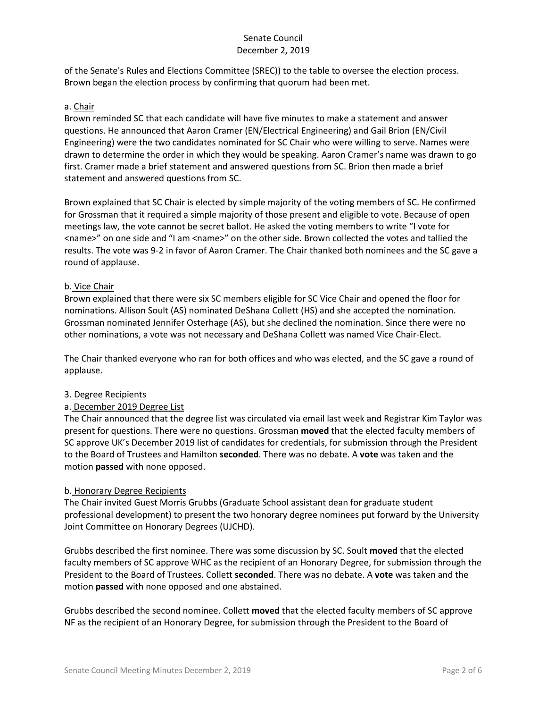of the Senate's Rules and Elections Committee (SREC)) to the table to oversee the election process. Brown began the election process by confirming that quorum had been met.

#### a. Chair

Brown reminded SC that each candidate will have five minutes to make a statement and answer questions. He announced that Aaron Cramer (EN/Electrical Engineering) and Gail Brion (EN/Civil Engineering) were the two candidates nominated for SC Chair who were willing to serve. Names were drawn to determine the order in which they would be speaking. Aaron Cramer's name was drawn to go first. Cramer made a brief statement and answered questions from SC. Brion then made a brief statement and answered questions from SC.

Brown explained that SC Chair is elected by simple majority of the voting members of SC. He confirmed for Grossman that it required a simple majority of those present and eligible to vote. Because of open meetings law, the vote cannot be secret ballot. He asked the voting members to write "I vote for <name>" on one side and "I am <name>" on the other side. Brown collected the votes and tallied the results. The vote was 9-2 in favor of Aaron Cramer. The Chair thanked both nominees and the SC gave a round of applause.

#### b. Vice Chair

Brown explained that there were six SC members eligible for SC Vice Chair and opened the floor for nominations. Allison Soult (AS) nominated DeShana Collett (HS) and she accepted the nomination. Grossman nominated Jennifer Osterhage (AS), but she declined the nomination. Since there were no other nominations, a vote was not necessary and DeShana Collett was named Vice Chair-Elect.

The Chair thanked everyone who ran for both offices and who was elected, and the SC gave a round of applause.

### 3. Degree Recipients

### a. December 2019 Degree List

The Chair announced that the degree list was circulated via email last week and Registrar Kim Taylor was present for questions. There were no questions. Grossman **moved** that the elected faculty members of SC approve UK's December 2019 list of candidates for credentials, for submission through the President to the Board of Trustees and Hamilton **seconded**. There was no debate. A **vote** was taken and the motion **passed** with none opposed.

#### b. Honorary Degree Recipients

The Chair invited Guest Morris Grubbs (Graduate School assistant dean for graduate student professional development) to present the two honorary degree nominees put forward by the University Joint Committee on Honorary Degrees (UJCHD).

Grubbs described the first nominee. There was some discussion by SC. Soult **moved** that the elected faculty members of SC approve WHC as the recipient of an Honorary Degree, for submission through the President to the Board of Trustees. Collett **seconded**. There was no debate. A **vote** was taken and the motion **passed** with none opposed and one abstained.

Grubbs described the second nominee. Collett **moved** that the elected faculty members of SC approve NF as the recipient of an Honorary Degree, for submission through the President to the Board of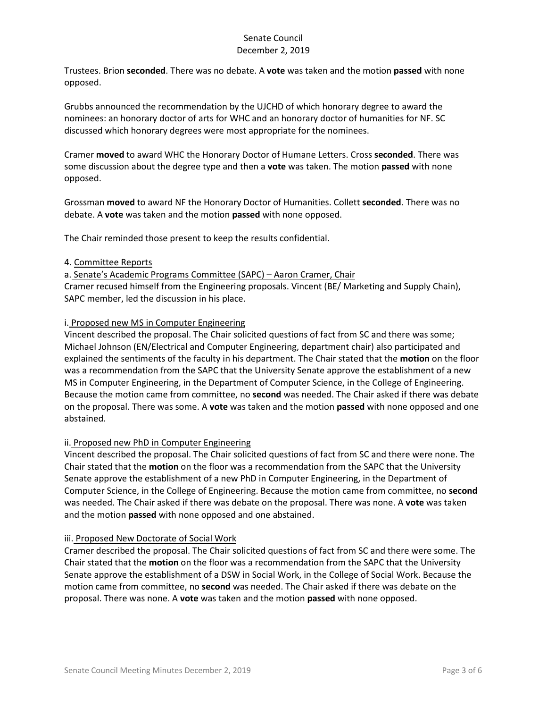Trustees. Brion **seconded**. There was no debate. A **vote** was taken and the motion **passed** with none opposed.

Grubbs announced the recommendation by the UJCHD of which honorary degree to award the nominees: an honorary doctor of arts for WHC and an honorary doctor of humanities for NF. SC discussed which honorary degrees were most appropriate for the nominees.

Cramer **moved** to award WHC the Honorary Doctor of Humane Letters. Cross **seconded**. There was some discussion about the degree type and then a **vote** was taken. The motion **passed** with none opposed.

Grossman **moved** to award NF the Honorary Doctor of Humanities. Collett **seconded**. There was no debate. A **vote** was taken and the motion **passed** with none opposed.

The Chair reminded those present to keep the results confidential.

### 4. Committee Reports

a. Senate's Academic Programs Committee (SAPC) – Aaron Cramer, Chair Cramer recused himself from the Engineering proposals. Vincent (BE/ Marketing and Supply Chain), SAPC member, led the discussion in his place.

### i. Proposed new MS in Computer Engineering

Vincent described the proposal. The Chair solicited questions of fact from SC and there was some; Michael Johnson (EN/Electrical and Computer Engineering, department chair) also participated and explained the sentiments of the faculty in his department. The Chair stated that the **motion** on the floor was a recommendation from the SAPC that the University Senate approve the establishment of a new MS in Computer Engineering, in the Department of Computer Science, in the College of Engineering. Because the motion came from committee, no **second** was needed. The Chair asked if there was debate on the proposal. There was some. A **vote** was taken and the motion **passed** with none opposed and one abstained.

### ii. Proposed new PhD in Computer Engineering

Vincent described the proposal. The Chair solicited questions of fact from SC and there were none. The Chair stated that the **motion** on the floor was a recommendation from the SAPC that the University Senate approve the establishment of a new PhD in Computer Engineering, in the Department of Computer Science, in the College of Engineering. Because the motion came from committee, no **second** was needed. The Chair asked if there was debate on the proposal. There was none. A **vote** was taken and the motion **passed** with none opposed and one abstained.

### iii. Proposed New Doctorate of Social Work

Cramer described the proposal. The Chair solicited questions of fact from SC and there were some. The Chair stated that the **motion** on the floor was a recommendation from the SAPC that the University Senate approve the establishment of a DSW in Social Work, in the College of Social Work. Because the motion came from committee, no **second** was needed. The Chair asked if there was debate on the proposal. There was none. A **vote** was taken and the motion **passed** with none opposed.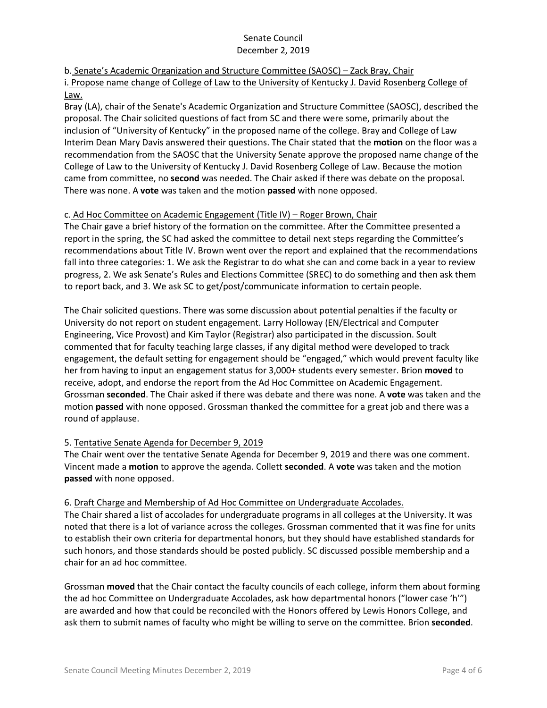# b. Senate's Academic Organization and Structure Committee (SAOSC) – Zack Bray, Chair

i. Propose name change of College of Law to the University of Kentucky J. David Rosenberg College of Law.

Bray (LA), chair of the Senate's Academic Organization and Structure Committee (SAOSC), described the proposal. The Chair solicited questions of fact from SC and there were some, primarily about the inclusion of "University of Kentucky" in the proposed name of the college. Bray and College of Law Interim Dean Mary Davis answered their questions. The Chair stated that the **motion** on the floor was a recommendation from the SAOSC that the University Senate approve the proposed name change of the College of Law to the University of Kentucky J. David Rosenberg College of Law. Because the motion came from committee, no **second** was needed. The Chair asked if there was debate on the proposal. There was none. A **vote** was taken and the motion **passed** with none opposed.

### c. Ad Hoc Committee on Academic Engagement (Title IV) – Roger Brown, Chair

The Chair gave a brief history of the formation on the committee. After the Committee presented a report in the spring, the SC had asked the committee to detail next steps regarding the Committee's recommendations about Title IV. Brown went over the report and explained that the recommendations fall into three categories: 1. We ask the Registrar to do what she can and come back in a year to review progress, 2. We ask Senate's Rules and Elections Committee (SREC) to do something and then ask them to report back, and 3. We ask SC to get/post/communicate information to certain people.

The Chair solicited questions. There was some discussion about potential penalties if the faculty or University do not report on student engagement. Larry Holloway (EN/Electrical and Computer Engineering, Vice Provost) and Kim Taylor (Registrar) also participated in the discussion. Soult commented that for faculty teaching large classes, if any digital method were developed to track engagement, the default setting for engagement should be "engaged," which would prevent faculty like her from having to input an engagement status for 3,000+ students every semester. Brion **moved** to receive, adopt, and endorse the report from the Ad Hoc Committee on Academic Engagement. Grossman **seconded**. The Chair asked if there was debate and there was none. A **vote** was taken and the motion **passed** with none opposed. Grossman thanked the committee for a great job and there was a round of applause.

# 5. Tentative Senate Agenda for December 9, 2019

The Chair went over the tentative Senate Agenda for December 9, 2019 and there was one comment. Vincent made a **motion** to approve the agenda. Collett **seconded**. A **vote** was taken and the motion **passed** with none opposed.

# 6. Draft Charge and Membership of Ad Hoc Committee on Undergraduate Accolades.

The Chair shared a list of accolades for undergraduate programs in all colleges at the University. It was noted that there is a lot of variance across the colleges. Grossman commented that it was fine for units to establish their own criteria for departmental honors, but they should have established standards for such honors, and those standards should be posted publicly. SC discussed possible membership and a chair for an ad hoc committee.

Grossman **moved** that the Chair contact the faculty councils of each college, inform them about forming the ad hoc Committee on Undergraduate Accolades, ask how departmental honors ("lower case 'h'") are awarded and how that could be reconciled with the Honors offered by Lewis Honors College, and ask them to submit names of faculty who might be willing to serve on the committee. Brion **seconded**.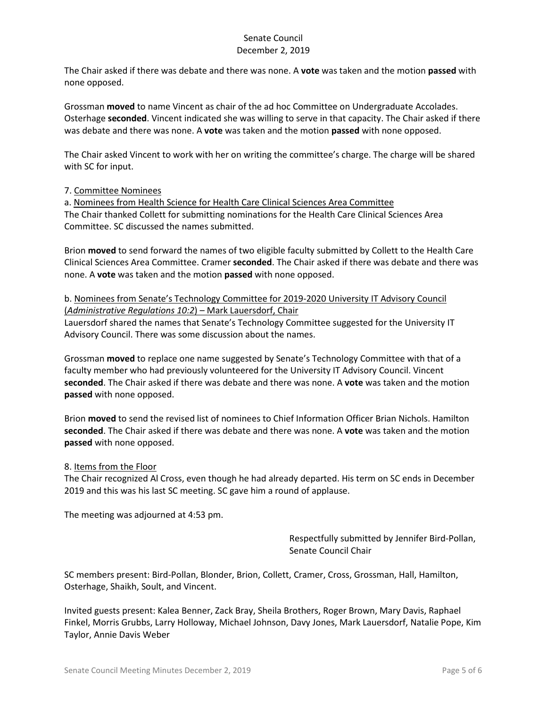The Chair asked if there was debate and there was none. A **vote** was taken and the motion **passed** with none opposed.

Grossman **moved** to name Vincent as chair of the ad hoc Committee on Undergraduate Accolades. Osterhage **seconded**. Vincent indicated she was willing to serve in that capacity. The Chair asked if there was debate and there was none. A **vote** was taken and the motion **passed** with none opposed.

The Chair asked Vincent to work with her on writing the committee's charge. The charge will be shared with SC for input.

7. Committee Nominees

a. Nominees from Health Science for Health Care Clinical Sciences Area Committee The Chair thanked Collett for submitting nominations for the Health Care Clinical Sciences Area Committee. SC discussed the names submitted.

Brion **moved** to send forward the names of two eligible faculty submitted by Collett to the Health Care Clinical Sciences Area Committee. Cramer **seconded**. The Chair asked if there was debate and there was none. A **vote** was taken and the motion **passed** with none opposed.

b. Nominees from Senate's Technology Committee for 2019-2020 University IT Advisory Council (*Administrative Regulations 10:2*) – Mark Lauersdorf, Chair

Lauersdorf shared the names that Senate's Technology Committee suggested for the University IT Advisory Council. There was some discussion about the names.

Grossman **moved** to replace one name suggested by Senate's Technology Committee with that of a faculty member who had previously volunteered for the University IT Advisory Council. Vincent **seconded**. The Chair asked if there was debate and there was none. A **vote** was taken and the motion **passed** with none opposed.

Brion **moved** to send the revised list of nominees to Chief Information Officer Brian Nichols. Hamilton **seconded**. The Chair asked if there was debate and there was none. A **vote** was taken and the motion **passed** with none opposed.

### 8. Items from the Floor

The Chair recognized Al Cross, even though he had already departed. His term on SC ends in December 2019 and this was his last SC meeting. SC gave him a round of applause.

The meeting was adjourned at 4:53 pm.

Respectfully submitted by Jennifer Bird-Pollan, Senate Council Chair

SC members present: Bird-Pollan, Blonder, Brion, Collett, Cramer, Cross, Grossman, Hall, Hamilton, Osterhage, Shaikh, Soult, and Vincent.

Invited guests present: Kalea Benner, Zack Bray, Sheila Brothers, Roger Brown, Mary Davis, Raphael Finkel, Morris Grubbs, Larry Holloway, Michael Johnson, Davy Jones, Mark Lauersdorf, Natalie Pope, Kim Taylor, Annie Davis Weber